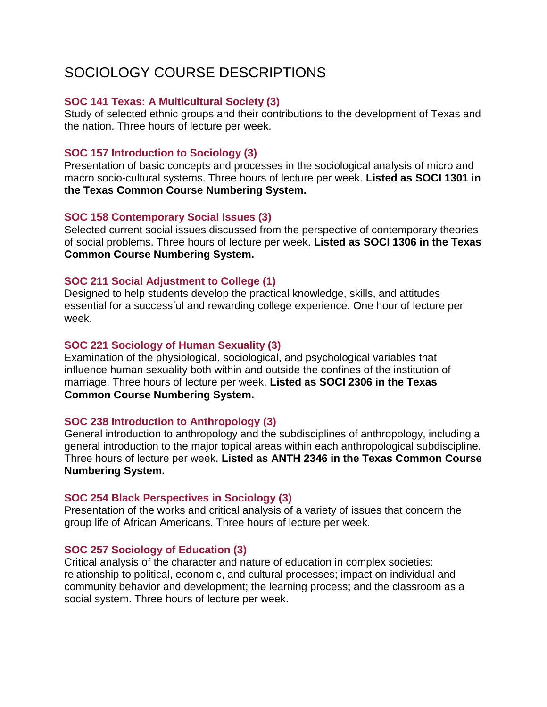# SOCIOLOGY COURSE DESCRIPTIONS

## **SOC 141 Texas: A Multicultural Society (3)**

Study of selected ethnic groups and their contributions to the development of Texas and the nation. Three hours of lecture per week.

# **SOC 157 Introduction to Sociology (3)**

Presentation of basic concepts and processes in the sociological analysis of micro and macro socio-cultural systems. Three hours of lecture per week. **Listed as SOCI 1301 in the Texas Common Course Numbering System.**

# **SOC 158 Contemporary Social Issues (3)**

Selected current social issues discussed from the perspective of contemporary theories of social problems. Three hours of lecture per week. **Listed as SOCI 1306 in the Texas Common Course Numbering System.**

# **SOC 211 Social Adjustment to College (1)**

Designed to help students develop the practical knowledge, skills, and attitudes essential for a successful and rewarding college experience. One hour of lecture per week.

# **SOC 221 Sociology of Human Sexuality (3)**

Examination of the physiological, sociological, and psychological variables that influence human sexuality both within and outside the confines of the institution of marriage. Three hours of lecture per week. **Listed as SOCI 2306 in the Texas Common Course Numbering System.**

# **SOC 238 Introduction to Anthropology (3)**

General introduction to anthropology and the subdisciplines of anthropology, including a general introduction to the major topical areas within each anthropological subdiscipline. Three hours of lecture per week. **Listed as ANTH 2346 in the Texas Common Course Numbering System.**

## **SOC 254 Black Perspectives in Sociology (3)**

Presentation of the works and critical analysis of a variety of issues that concern the group life of African Americans. Three hours of lecture per week.

## **SOC 257 Sociology of Education (3)**

Critical analysis of the character and nature of education in complex societies: relationship to political, economic, and cultural processes; impact on individual and community behavior and development; the learning process; and the classroom as a social system. Three hours of lecture per week.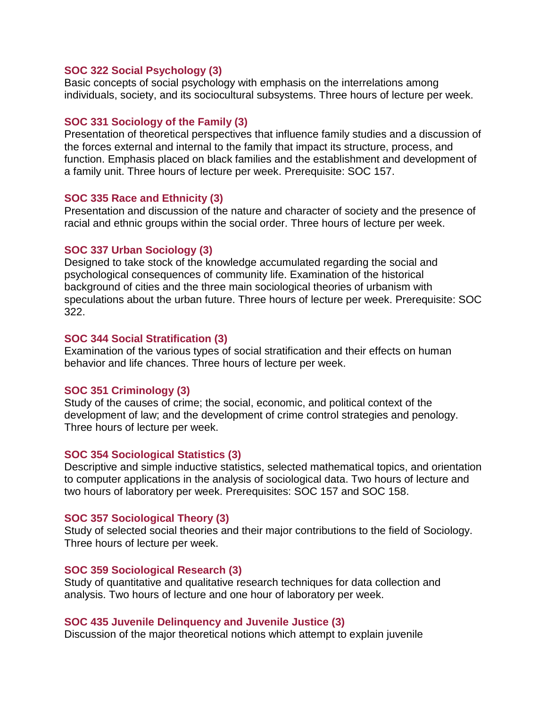#### **SOC 322 Social Psychology (3)**

Basic concepts of social psychology with emphasis on the interrelations among individuals, society, and its sociocultural subsystems. Three hours of lecture per week.

#### **SOC 331 Sociology of the Family (3)**

Presentation of theoretical perspectives that influence family studies and a discussion of the forces external and internal to the family that impact its structure, process, and function. Emphasis placed on black families and the establishment and development of a family unit. Three hours of lecture per week. Prerequisite: SOC 157.

#### **SOC 335 Race and Ethnicity (3)**

Presentation and discussion of the nature and character of society and the presence of racial and ethnic groups within the social order. Three hours of lecture per week.

#### **SOC 337 Urban Sociology (3)**

Designed to take stock of the knowledge accumulated regarding the social and psychological consequences of community life. Examination of the historical background of cities and the three main sociological theories of urbanism with speculations about the urban future. Three hours of lecture per week. Prerequisite: SOC 322.

#### **SOC 344 Social Stratification (3)**

Examination of the various types of social stratification and their effects on human behavior and life chances. Three hours of lecture per week.

#### **SOC 351 Criminology (3)**

Study of the causes of crime; the social, economic, and political context of the development of law; and the development of crime control strategies and penology. Three hours of lecture per week.

#### **SOC 354 Sociological Statistics (3)**

Descriptive and simple inductive statistics, selected mathematical topics, and orientation to computer applications in the analysis of sociological data. Two hours of lecture and two hours of laboratory per week. Prerequisites: SOC 157 and SOC 158.

#### **SOC 357 Sociological Theory (3)**

Study of selected social theories and their major contributions to the field of Sociology. Three hours of lecture per week.

#### **SOC 359 Sociological Research (3)**

Study of quantitative and qualitative research techniques for data collection and analysis. Two hours of lecture and one hour of laboratory per week.

#### **SOC 435 Juvenile Delinquency and Juvenile Justice (3)**

Discussion of the major theoretical notions which attempt to explain juvenile